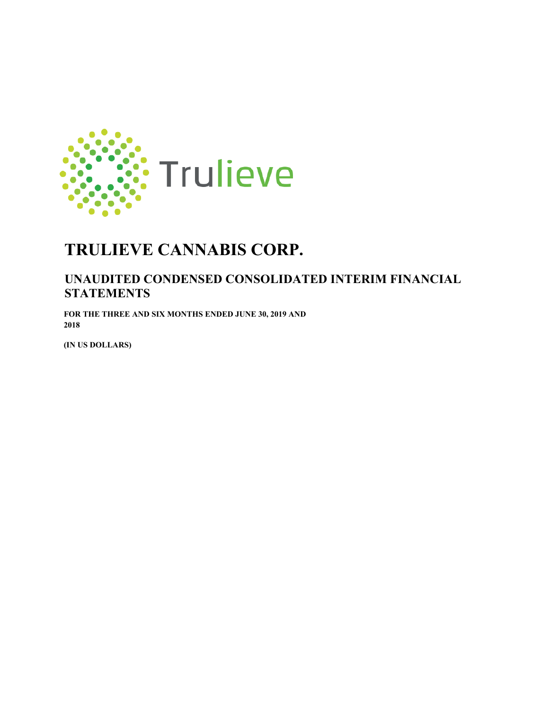

## **UNAUDITED CONDENSED CONSOLIDATED INTERIM FINANCIAL STATEMENTS**

**FOR THE THREE AND SIX MONTHS ENDED JUNE 30, 2019 AND 2018** 

**(IN US DOLLARS)**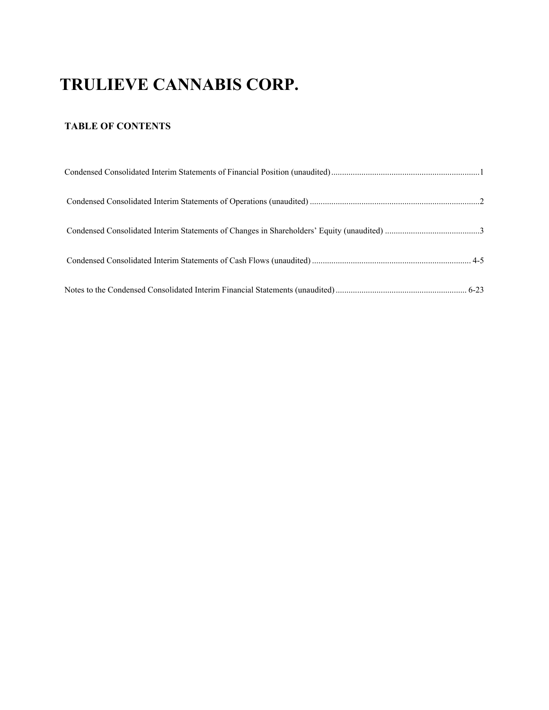## **TABLE OF CONTENTS**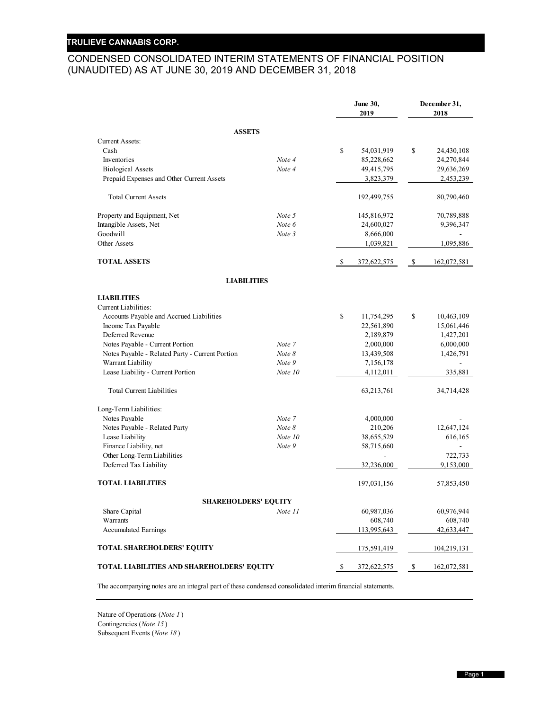## CONDENSED CONSOLIDATED INTERIM STATEMENTS OF FINANCIAL POSITION (UNAUDITED) AS AT JUNE 30, 2019 AND DECEMBER 31, 2018

|                                                 |          |    | June 30,<br>2019 |    | December 31,<br>2018 |
|-------------------------------------------------|----------|----|------------------|----|----------------------|
| <b>ASSETS</b>                                   |          |    |                  |    |                      |
| <b>Current Assets:</b>                          |          |    |                  |    |                      |
| Cash                                            |          | \$ | 54,031,919       | \$ | 24,430,108           |
| Inventories                                     | Note 4   |    | 85,228,662       |    | 24,270,844           |
| <b>Biological Assets</b>                        | Note 4   |    | 49,415,795       |    | 29,636,269           |
| Prepaid Expenses and Other Current Assets       |          |    | 3,823,379        |    | 2,453,239            |
| <b>Total Current Assets</b>                     |          |    | 192,499,755      |    | 80,790,460           |
| Property and Equipment, Net                     | Note 5   |    | 145,816,972      |    | 70,789,888           |
| Intangible Assets, Net                          | Note 6   |    | 24,600,027       |    | 9,396,347            |
| Goodwill                                        | Note 3   |    | 8,666,000        |    |                      |
| Other Assets                                    |          |    | 1,039,821        |    | 1,095,886            |
| <b>TOTAL ASSETS</b>                             |          | -S | 372,622,575      | -S | 162,072,581          |
| <b>LIABILITIES</b>                              |          |    |                  |    |                      |
| <b>LIABILITIES</b>                              |          |    |                  |    |                      |
| Current Liabilities:                            |          |    |                  |    |                      |
| Accounts Payable and Accrued Liabilities        |          | \$ | 11,754,295       | \$ | 10,463,109           |
| Income Tax Payable                              |          |    | 22,561,890       |    | 15,061,446           |
| Deferred Revenue                                |          |    | 2,189,879        |    | 1,427,201            |
| Notes Payable - Current Portion                 | Note 7   |    | 2,000,000        |    | 6,000,000            |
| Notes Payable - Related Party - Current Portion | Note 8   |    | 13,439,508       |    | 1,426,791            |
| Warrant Liability                               | Note 9   |    | 7,156,178        |    |                      |
| Lease Liability - Current Portion               | Note 10  |    | 4,112,011        |    | 335,881              |
| <b>Total Current Liabilities</b>                |          |    | 63,213,761       |    | 34,714,428           |
| Long-Term Liabilities:                          |          |    |                  |    |                      |
| Notes Payable                                   | Note 7   |    | 4,000,000        |    |                      |
| Notes Payable - Related Party                   | Note $8$ |    | 210,206          |    | 12,647,124           |
| Lease Liability                                 | Note 10  |    | 38,655,529       |    | 616,165              |
| Finance Liability, net                          | Note 9   |    | 58,715,660       |    |                      |
| Other Long-Term Liabilities                     |          |    |                  |    | 722,733              |
| Deferred Tax Liability                          |          |    | 32,236,000       |    | 9,153,000            |
| <b>TOTAL LIABILITIES</b>                        |          |    | 197,031,156      |    | 57,853,450           |
| <b>SHAREHOLDERS' EQUITY</b>                     |          |    |                  |    |                      |
| Share Capital                                   | Note 11  |    | 60,987,036       |    | 60,976,944           |
| Warrants                                        |          |    | 608,740          |    | 608,740              |
| <b>Accumulated Earnings</b>                     |          |    | 113,995,643      |    | 42,633,447           |
| TOTAL SHAREHOLDERS' EQUITY                      |          |    | 175,591,419      |    | 104,219,131          |
| TOTAL LIABILITIES AND SHAREHOLDERS' EQUITY      |          | -S | 372,622,575      | -S | 162,072,581          |

The accompanying notes are an integral part of these condensed consolidated interim financial statements.

Nature of Operations (*Note 1* ) Contingencies (*Note 15* ) Subsequent Events (*Note 18* )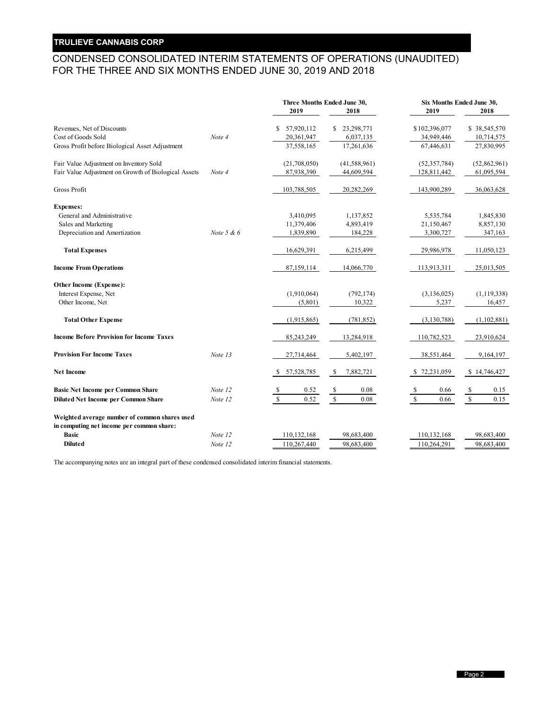## CONDENSED CONSOLIDATED INTERIM STATEMENTS OF OPERATIONS (UNAUDITED) FOR THE THREE AND SIX MONTHS ENDED JUNE 30, 2019 AND 2018

|                                                      |              | Three Months Ended June 30,               |                     | Six Months Ended June 30,               |                              |  |  |
|------------------------------------------------------|--------------|-------------------------------------------|---------------------|-----------------------------------------|------------------------------|--|--|
|                                                      |              | 2019                                      | 2018                | 2019                                    | 2018                         |  |  |
| Revenues, Net of Discounts                           |              | 57,920,112<br>S.                          | \$23,298,771        | \$102,396,077                           | \$38,545,570                 |  |  |
| Cost of Goods Sold                                   | Note 4       | 20,361,947                                | 6,037,135           | 34,949,446                              | 10,714,575                   |  |  |
| Gross Profit before Biological Asset Adjustment      |              | 37,558,165                                | 17,261,636          | 67,446,631                              | 27,830,995                   |  |  |
| Fair Value Adjustment on Inventory Sold              |              | (21,708,050)                              | (41,588,961)        | (52, 357, 784)                          | (52,862,961)                 |  |  |
| Fair Value Adjustment on Growth of Biological Assets | Note 4       | 87,938,390                                | 44,609,594          | 128,811,442                             | 61,095,594                   |  |  |
| Gross Profit                                         |              | 103,788,505                               | 20,282,269          | 143,900,289                             | 36,063,628                   |  |  |
| <b>Expenses:</b>                                     |              |                                           |                     |                                         |                              |  |  |
| General and Administrative                           |              | 3,410,095                                 | 1,137,852           | 5,535,784                               | 1,845,830                    |  |  |
| Sales and Marketing                                  |              | 11,379,406                                | 4,893,419           | 21,150,467                              | 8,857,130                    |  |  |
| Depreciation and Amortization                        | Note $5 & 6$ | 1,839,890                                 | 184,228             | 3,300,727                               | 347,163                      |  |  |
| <b>Total Expenses</b>                                |              | 16,629,391                                | 6,215,499           | 29,986,978                              | 11,050,123                   |  |  |
| <b>Income From Operations</b>                        |              | 87,159,114                                | 14,066,770          | 113,913,311                             | 25,013,505                   |  |  |
| Other Income (Expense):                              |              |                                           |                     |                                         |                              |  |  |
| Interest Expense, Net                                |              | (1,910,064)                               | (792, 174)          | (3, 136, 025)                           | (1, 119, 338)                |  |  |
| Other Income, Net                                    |              | (5,801)                                   | 10,322              | 5,237                                   | 16,457                       |  |  |
| <b>Total Other Expense</b>                           |              | (1,915,865)                               | (781, 852)          | (3,130,788)                             | (1,102,881)                  |  |  |
| <b>Income Before Provision for Income Taxes</b>      |              | 85,243,249                                | 13,284,918          | 110,782,523                             | 23,910,624                   |  |  |
| <b>Provision For Income Taxes</b>                    | Note 13      | 27,714,464                                | 5,402,197           | 38,551,464                              | 9,164,197                    |  |  |
| <b>Net Income</b>                                    |              | 57,528,785<br>-S                          | 7,882,721<br>\$     | \$72,231,059                            | \$14,746,427                 |  |  |
| <b>Basic Net Income per Common Share</b>             | Note 12      | 0.52<br>$\frac{\mathcal{S}}{\mathcal{S}}$ | \$<br>0.08          | 0.66<br>$\frac{\mathsf{s}}{\mathsf{s}}$ | $\sqrt{\frac{1}{2}}$<br>0.15 |  |  |
| <b>Diluted Net Income per Common Share</b>           | Note 12      | $\mathcal{S}$<br>0.52                     | $\mathbb S$<br>0.08 | $\mathbb{S}$<br>0.66                    | $\mathbb{S}$<br>0.15         |  |  |
| Weighted average number of common shares used        |              |                                           |                     |                                         |                              |  |  |
| in computing net income per common share:            |              |                                           |                     |                                         |                              |  |  |
| <b>Basic</b>                                         | Note 12      | 110,132,168                               | 98,683,400          | 110,132,168                             | 98,683,400                   |  |  |
| <b>Diluted</b>                                       | Note 12      | 110,267,440                               | 98,683,400          | 110,264,291                             | 98,683,400                   |  |  |

The accompanying notes are an integral part of these condensed consolidated interim financial statements.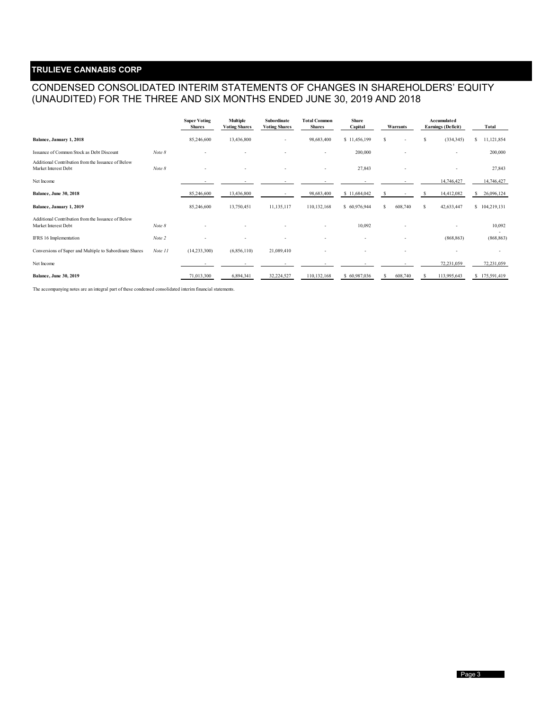## CONDENSED CONSOLIDATED INTERIM STATEMENTS OF CHANGES IN SHAREHOLDERS' EQUITY (UNAUDITED) FOR THE THREE AND SIX MONTHS ENDED JUNE 30, 2019 AND 2018

|                                                                            |         | <b>Super Voting</b><br><b>Shares</b> | <b>Multiple</b><br><b>Voting Shares</b> | Subordinate<br><b>Voting Shares</b> | <b>Total Common</b><br><b>Shares</b> | <b>Share</b><br>Capital | Warrants      |                          |    | Accumulated<br><b>Earnings (Deficit)</b> | <b>Total</b>  |
|----------------------------------------------------------------------------|---------|--------------------------------------|-----------------------------------------|-------------------------------------|--------------------------------------|-------------------------|---------------|--------------------------|----|------------------------------------------|---------------|
| Balance, January 1, 2018                                                   |         | 85,246,600                           | 13,436,800                              | $\sim$                              | 98,683,400                           | \$11,456,199            | s             | ٠                        | \$ | (334, 345)                               | 11,121,854    |
| Issuance of Common Stock as Debt Discount                                  | Note 8  |                                      |                                         |                                     |                                      | 200,000                 |               | ٠                        |    | $\overline{\phantom{a}}$                 | 200,000       |
| Additional Contribution from the Issuance of Below<br>Market Interest Debt | Note 8  |                                      |                                         |                                     |                                      | 27,843                  |               |                          |    |                                          | 27,843        |
| Net Income                                                                 |         |                                      |                                         |                                     |                                      |                         |               |                          |    | 14,746,427                               | 14,746,427    |
| <b>Balance, June 30, 2018</b>                                              |         | 85,246,600                           | 13,436,800                              |                                     | 98,683,400                           | \$11,684,042            | s             |                          |    | 14,412,082                               | 26,096,124    |
| Balance, January 1, 2019                                                   |         | 85,246,600                           | 13,750,451                              | 11,135,117                          | 110,132,168                          | \$60,976,944            | 608,740<br>s  |                          | -S | 42,633,447                               | \$104,219,131 |
| Additional Contribution from the Issuance of Below<br>Market Interest Debt | Note 8  |                                      |                                         |                                     | ٠                                    | 10,092                  |               |                          |    |                                          | 10,092        |
| IFRS 16 Implementation                                                     | Note 2  |                                      |                                         |                                     |                                      |                         |               | $\overline{\phantom{a}}$ |    | (868, 863)                               | (868, 863)    |
| Conversions of Super and Multiple to Subordinate Shares                    | Note 11 | (14,233,300)                         | (6,856,110)                             | 21,089,410                          |                                      |                         |               |                          |    |                                          |               |
| Net Income                                                                 |         |                                      |                                         |                                     |                                      |                         |               |                          |    | 72,231,059                               | 72,231,059    |
| <b>Balance, June 30, 2019</b>                                              |         | 71,013,300                           | 6,894,341                               | 32,224,527                          | 110,132,168                          | \$60,987,036            | 608,740<br>-S |                          |    | 113,995,643                              | \$175,591,419 |

The accompanying notes are an integral part of these condensed consolidated interim financial statements.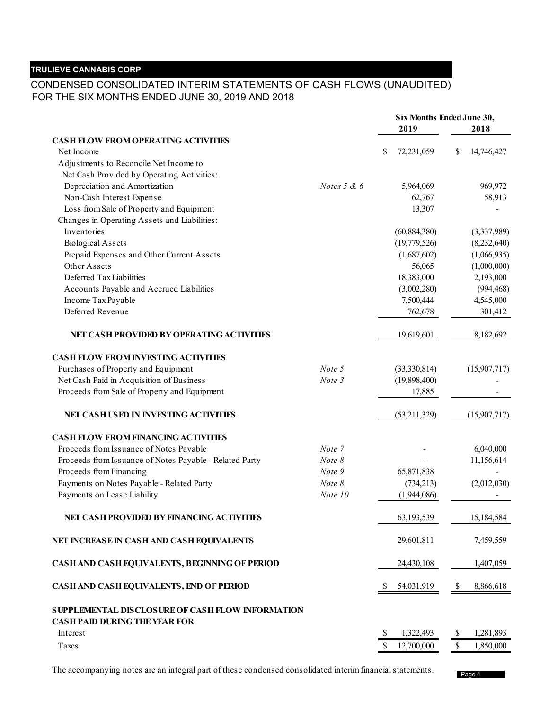## CONDENSED CONSOLIDATED INTERIM STATEMENTS OF CASH FLOWS (UNAUDITED) FOR THE SIX MONTHS ENDED JUNE 30, 2019 AND 2018

|                                                         |                  |                  | Six Months Ended June 30, |
|---------------------------------------------------------|------------------|------------------|---------------------------|
|                                                         |                  | 2019             | 2018                      |
| <b>CASH FLOW FROM OPERATING ACTIVITIES</b>              |                  |                  |                           |
| Net Income                                              |                  | \$<br>72,231,059 | \$<br>14,746,427          |
| Adjustments to Reconcile Net Income to                  |                  |                  |                           |
| Net Cash Provided by Operating Activities:              |                  |                  |                           |
| Depreciation and Amortization                           | Notes $5 & 6$    | 5,964,069        | 969,972                   |
| Non-Cash Interest Expense                               |                  | 62,767           | 58,913                    |
| Loss from Sale of Property and Equipment                |                  | 13,307           |                           |
| Changes in Operating Assets and Liabilities:            |                  |                  |                           |
| Inventories                                             |                  | (60, 884, 380)   | (3,337,989)               |
| <b>Biological Assets</b>                                |                  | (19,779,526)     | (8,232,640)               |
| Prepaid Expenses and Other Current Assets               |                  | (1,687,602)      | (1,066,935)               |
| Other Assets                                            |                  | 56,065           | (1,000,000)               |
| Deferred Tax Liabilities                                |                  | 18,383,000       | 2,193,000                 |
| Accounts Payable and Accrued Liabilities                |                  | (3,002,280)      | (994, 468)                |
| Income Tax Payable                                      |                  | 7,500,444        | 4,545,000                 |
| Deferred Revenue                                        |                  | 762,678          | 301,412                   |
|                                                         |                  |                  |                           |
| NET CASH PROVIDED BY OPERATING ACTIVITIES               |                  | 19,619,601       | 8,182,692                 |
|                                                         |                  |                  |                           |
| <b>CASH FLOW FROM INVESTING ACTIVITIES</b>              |                  |                  |                           |
| Purchases of Property and Equipment                     | Note 5           | (33,330,814)     | (15,907,717)              |
| Net Cash Paid in Acquisition of Business                | Note 3           | (19,898,400)     |                           |
| Proceeds from Sale of Property and Equipment            |                  | 17,885           |                           |
| NET CASH USED IN INVESTING ACTIVITIES                   |                  | (53,211,329)     | (15,907,717)              |
|                                                         |                  |                  |                           |
| <b>CASH FLOW FROM FINANCING ACTIVITIES</b>              |                  |                  |                           |
| Proceeds from Issuance of Notes Payable                 | Note 7           |                  | 6,040,000                 |
| Proceeds from Issuance of Notes Payable - Related Party | Note 8<br>Note 9 |                  | 11,156,614                |
| Proceeds from Financing                                 | Note $8$         | 65,871,838       |                           |
| Payments on Notes Payable - Related Party               |                  | (734, 213)       | (2,012,030)               |
| Payments on Lease Liability                             | Note 10          | (1,944,086)      |                           |
| NET CASH PROVIDED BY FINANCING ACTIVITIES               |                  | 63,193,539       | 15,184,584                |
| NET INCREASE IN CASH AND CASH EQUIVALENTS               |                  | 29,601,811       | 7,459,559                 |
| CASH AND CASH EQUIVALENTS, BEGINNING OF PERIOD          |                  | 24,430,108       | 1,407,059                 |
|                                                         |                  |                  |                           |
| CASH AND CASH EQUIVALENTS, END OF PERIOD                |                  | 54,031,919<br>-S | \$<br>8,866,618           |
| SUPPLEMENTAL DISCLOSURE OF CASH FLOW INFORMATION        |                  |                  |                           |
| <b>CASH PAID DURING THE YEAR FOR</b>                    |                  |                  |                           |
| Interest                                                |                  | \$<br>1,322,493  | \$<br>1,281,893           |
| Taxes                                                   |                  | \$<br>12,700,000 | \$<br>1,850,000           |
|                                                         |                  |                  |                           |

The accompanying notes are an integral part of these condensed consolidated interim financial statements.

Page 4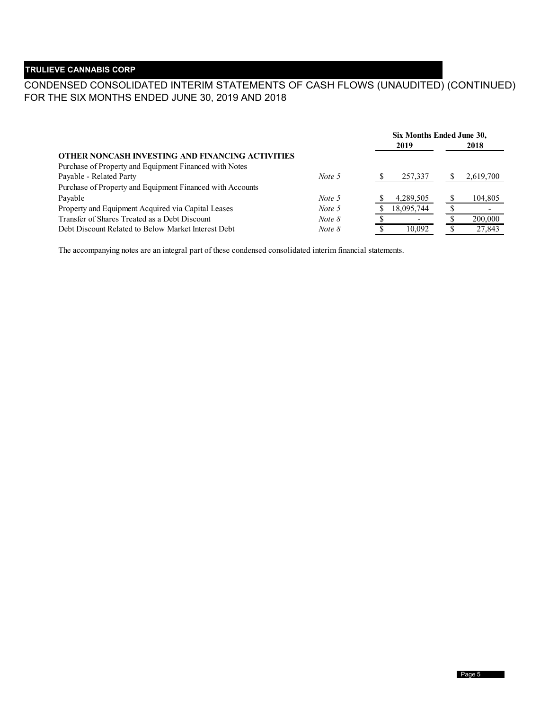## CONDENSED CONSOLIDATED INTERIM STATEMENTS OF CASH FLOWS (UNAUDITED) (CONTINUED) FOR THE SIX MONTHS ENDED JUNE 30, 2019 AND 2018

|                                                           |          | Six Months Ended June 30, |            |  |           |
|-----------------------------------------------------------|----------|---------------------------|------------|--|-----------|
|                                                           |          |                           | 2019       |  | 2018      |
| OTHER NONCASH INVESTING AND FINANCING ACTIVITIES          |          |                           |            |  |           |
| Purchase of Property and Equipment Financed with Notes    |          |                           |            |  |           |
| Payable - Related Party                                   | Note 5   |                           | 257,337    |  | 2,619,700 |
| Purchase of Property and Equipment Financed with Accounts |          |                           |            |  |           |
| Payable                                                   | Note 5   |                           | 4,289,505  |  | 104,805   |
| Property and Equipment Acquired via Capital Leases        | Note 5   |                           | 18,095,744 |  |           |
| Transfer of Shares Treated as a Debt Discount             | Note $8$ |                           |            |  | 200,000   |
| Debt Discount Related to Below Market Interest Debt       | Note 8   |                           | 10.092     |  | 27,843    |

The accompanying notes are an integral part of these condensed consolidated interim financial statements.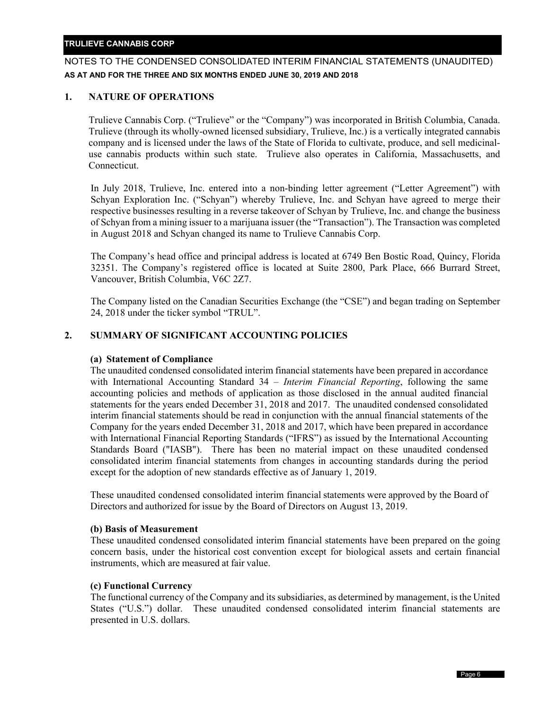## NOTES TO THE CONDENSED CONSOLIDATED INTERIM FINANCIAL STATEMENTS (UNAUDITED) **AS AT AND FOR THE THREE AND SIX MONTHS ENDED JUNE 30, 2019 AND 2018**

## **1. NATURE OF OPERATIONS**

Trulieve Cannabis Corp. ("Trulieve" or the "Company") was incorporated in British Columbia, Canada. Trulieve (through its wholly-owned licensed subsidiary, Trulieve, Inc.) is a vertically integrated cannabis company and is licensed under the laws of the State of Florida to cultivate, produce, and sell medicinaluse cannabis products within such state. Trulieve also operates in California, Massachusetts, and Connecticut.

In July 2018, Trulieve, Inc. entered into a non-binding letter agreement ("Letter Agreement") with Schyan Exploration Inc. ("Schyan") whereby Trulieve, Inc. and Schyan have agreed to merge their respective businesses resulting in a reverse takeover of Schyan by Trulieve, Inc. and change the business of Schyan from a mining issuer to a marijuana issuer (the "Transaction"). The Transaction was completed in August 2018 and Schyan changed its name to Trulieve Cannabis Corp.

The Company's head office and principal address is located at 6749 Ben Bostic Road, Quincy, Florida 32351. The Company's registered office is located at Suite 2800, Park Place, 666 Burrard Street, Vancouver, British Columbia, V6C 2Z7.

The Company listed on the Canadian Securities Exchange (the "CSE") and began trading on September 24, 2018 under the ticker symbol "TRUL".

## **2. SUMMARY OF SIGNIFICANT ACCOUNTING POLICIES**

#### **(a) Statement of Compliance**

The unaudited condensed consolidated interim financial statements have been prepared in accordance with International Accounting Standard 34 – *Interim Financial Reporting*, following the same accounting policies and methods of application as those disclosed in the annual audited financial statements for the years ended December 31, 2018 and 2017. The unaudited condensed consolidated interim financial statements should be read in conjunction with the annual financial statements of the Company for the years ended December 31, 2018 and 2017, which have been prepared in accordance with International Financial Reporting Standards ("IFRS") as issued by the International Accounting Standards Board ("IASB"). There has been no material impact on these unaudited condensed consolidated interim financial statements from changes in accounting standards during the period except for the adoption of new standards effective as of January 1, 2019.

These unaudited condensed consolidated interim financial statements were approved by the Board of Directors and authorized for issue by the Board of Directors on August 13, 2019.

#### **(b) Basis of Measurement**

These unaudited condensed consolidated interim financial statements have been prepared on the going concern basis, under the historical cost convention except for biological assets and certain financial instruments, which are measured at fair value.

#### **(c) Functional Currency**

The functional currency of the Company and its subsidiaries, as determined by management, is the United States ("U.S.") dollar. These unaudited condensed consolidated interim financial statements are presented in U.S. dollars.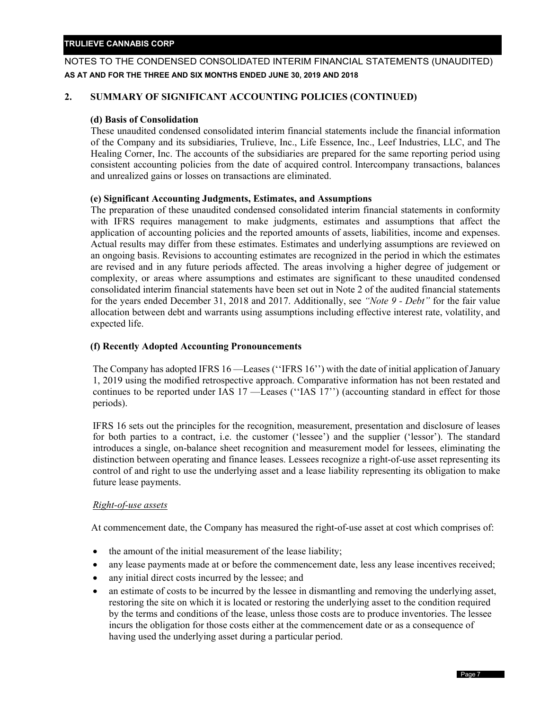## NOTES TO THE CONDENSED CONSOLIDATED INTERIM FINANCIAL STATEMENTS (UNAUDITED) **AS AT AND FOR THE THREE AND SIX MONTHS ENDED JUNE 30, 2019 AND 2018**

## **2. SUMMARY OF SIGNIFICANT ACCOUNTING POLICIES (CONTINUED)**

#### **(d) Basis of Consolidation**

These unaudited condensed consolidated interim financial statements include the financial information of the Company and its subsidiaries, Trulieve, Inc., Life Essence, Inc., Leef Industries, LLC, and The Healing Corner, Inc. The accounts of the subsidiaries are prepared for the same reporting period using consistent accounting policies from the date of acquired control. Intercompany transactions, balances and unrealized gains or losses on transactions are eliminated.

#### **(e) Significant Accounting Judgments, Estimates, and Assumptions**

The preparation of these unaudited condensed consolidated interim financial statements in conformity with IFRS requires management to make judgments, estimates and assumptions that affect the application of accounting policies and the reported amounts of assets, liabilities, income and expenses. Actual results may differ from these estimates. Estimates and underlying assumptions are reviewed on an ongoing basis. Revisions to accounting estimates are recognized in the period in which the estimates are revised and in any future periods affected. The areas involving a higher degree of judgement or complexity, or areas where assumptions and estimates are significant to these unaudited condensed consolidated interim financial statements have been set out in Note 2 of the audited financial statements for the years ended December 31, 2018 and 2017. Additionally, see *"Note 9 - Debt"* for the fair value allocation between debt and warrants using assumptions including effective interest rate, volatility, and expected life.

#### **(f) Recently Adopted Accounting Pronouncements**

The Company has adopted IFRS 16 —Leases (''IFRS 16'') with the date of initial application of January 1, 2019 using the modified retrospective approach. Comparative information has not been restated and continues to be reported under IAS 17 —Leases (''IAS 17'') (accounting standard in effect for those periods).

IFRS 16 sets out the principles for the recognition, measurement, presentation and disclosure of leases for both parties to a contract, i.e. the customer ('lessee') and the supplier ('lessor'). The standard introduces a single, on-balance sheet recognition and measurement model for lessees, eliminating the distinction between operating and finance leases. Lessees recognize a right-of-use asset representing its control of and right to use the underlying asset and a lease liability representing its obligation to make future lease payments.

#### *Right-of-use assets*

At commencement date, the Company has measured the right-of-use asset at cost which comprises of:

- the amount of the initial measurement of the lease liability;
- any lease payments made at or before the commencement date, less any lease incentives received;
- any initial direct costs incurred by the lessee; and
- an estimate of costs to be incurred by the lessee in dismantling and removing the underlying asset, restoring the site on which it is located or restoring the underlying asset to the condition required by the terms and conditions of the lease, unless those costs are to produce inventories. The lessee incurs the obligation for those costs either at the commencement date or as a consequence of having used the underlying asset during a particular period.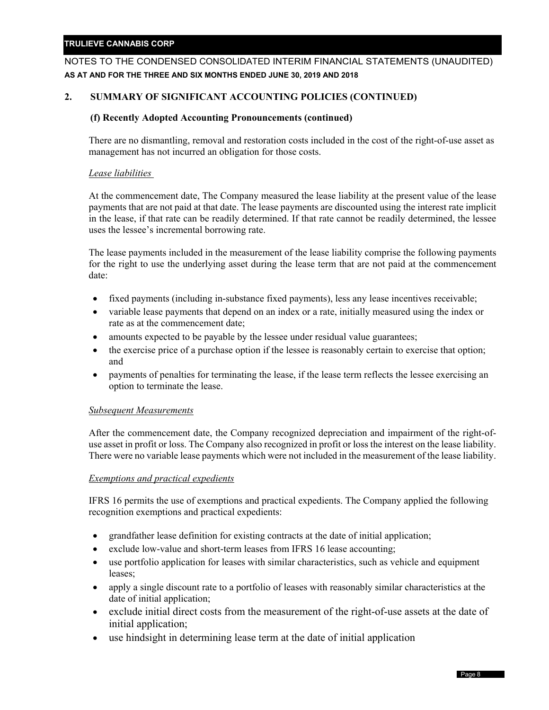## NOTES TO THE CONDENSED CONSOLIDATED INTERIM FINANCIAL STATEMENTS (UNAUDITED) **AS AT AND FOR THE THREE AND SIX MONTHS ENDED JUNE 30, 2019 AND 2018**

## **2. SUMMARY OF SIGNIFICANT ACCOUNTING POLICIES (CONTINUED)**

## **(f) Recently Adopted Accounting Pronouncements (continued)**

There are no dismantling, removal and restoration costs included in the cost of the right-of-use asset as management has not incurred an obligation for those costs.

## *Lease liabilities*

At the commencement date, The Company measured the lease liability at the present value of the lease payments that are not paid at that date. The lease payments are discounted using the interest rate implicit in the lease, if that rate can be readily determined. If that rate cannot be readily determined, the lessee uses the lessee's incremental borrowing rate.

The lease payments included in the measurement of the lease liability comprise the following payments for the right to use the underlying asset during the lease term that are not paid at the commencement date:

- fixed payments (including in-substance fixed payments), less any lease incentives receivable;
- variable lease payments that depend on an index or a rate, initially measured using the index or rate as at the commencement date;
- amounts expected to be payable by the lessee under residual value guarantees;
- the exercise price of a purchase option if the lessee is reasonably certain to exercise that option; and
- payments of penalties for terminating the lease, if the lease term reflects the lessee exercising an option to terminate the lease.

#### *Subsequent Measurements*

After the commencement date, the Company recognized depreciation and impairment of the right-ofuse asset in profit or loss. The Company also recognized in profit or loss the interest on the lease liability. There were no variable lease payments which were not included in the measurement of the lease liability.

## *Exemptions and practical expedients*

IFRS 16 permits the use of exemptions and practical expedients. The Company applied the following recognition exemptions and practical expedients:

- grandfather lease definition for existing contracts at the date of initial application;
- exclude low-value and short-term leases from IFRS 16 lease accounting;
- use portfolio application for leases with similar characteristics, such as vehicle and equipment leases;
- apply a single discount rate to a portfolio of leases with reasonably similar characteristics at the date of initial application;
- exclude initial direct costs from the measurement of the right-of-use assets at the date of initial application;
- use hindsight in determining lease term at the date of initial application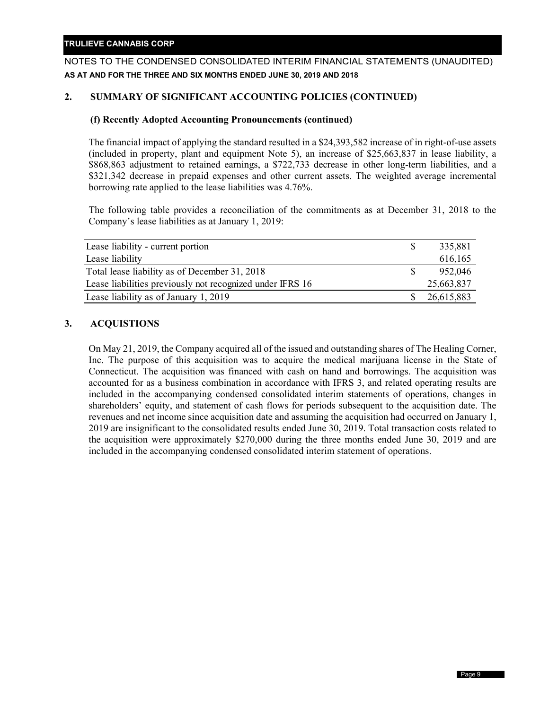## NOTES TO THE CONDENSED CONSOLIDATED INTERIM FINANCIAL STATEMENTS (UNAUDITED) **AS AT AND FOR THE THREE AND SIX MONTHS ENDED JUNE 30, 2019 AND 2018**

## **2. SUMMARY OF SIGNIFICANT ACCOUNTING POLICIES (CONTINUED)**

#### **(f) Recently Adopted Accounting Pronouncements (continued)**

The financial impact of applying the standard resulted in a \$24,393,582 increase of in right-of-use assets (included in property, plant and equipment Note 5), an increase of \$25,663,837 in lease liability, a \$868,863 adjustment to retained earnings, a \$722,733 decrease in other long-term liabilities, and a \$321,342 decrease in prepaid expenses and other current assets. The weighted average incremental borrowing rate applied to the lease liabilities was 4.76%.

The following table provides a reconciliation of the commitments as at December 31, 2018 to the Company's lease liabilities as at January 1, 2019:

| Lease liability - current portion                         | 335,881    |
|-----------------------------------------------------------|------------|
| Lease liability                                           | 616,165    |
| Total lease liability as of December 31, 2018             | 952,046    |
| Lease liabilities previously not recognized under IFRS 16 | 25,663,837 |
| Lease liability as of January 1, 2019                     | 26,615,883 |

## **3. ACQUISTIONS**

On May 21, 2019, the Company acquired all of the issued and outstanding shares of The Healing Corner, Inc. The purpose of this acquisition was to acquire the medical marijuana license in the State of Connecticut. The acquisition was financed with cash on hand and borrowings. The acquisition was accounted for as a business combination in accordance with IFRS 3, and related operating results are included in the accompanying condensed consolidated interim statements of operations, changes in shareholders' equity, and statement of cash flows for periods subsequent to the acquisition date. The revenues and net income since acquisition date and assuming the acquisition had occurred on January 1, 2019 are insignificant to the consolidated results ended June 30, 2019. Total transaction costs related to the acquisition were approximately \$270,000 during the three months ended June 30, 2019 and are included in the accompanying condensed consolidated interim statement of operations.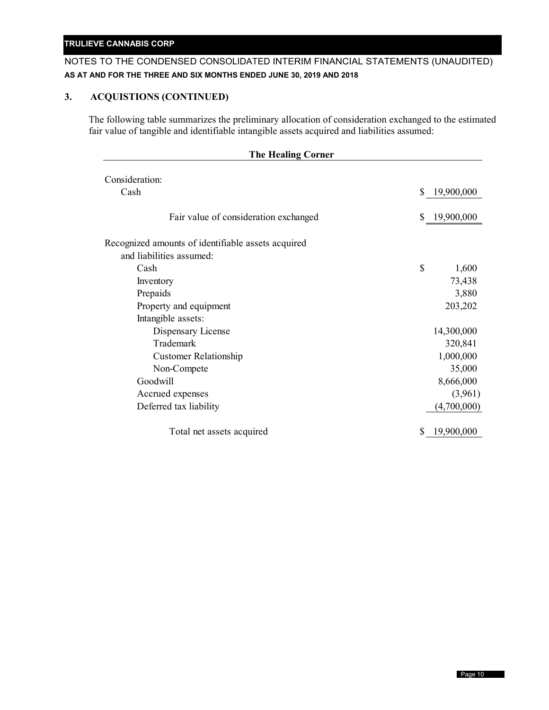## NOTES TO THE CONDENSED CONSOLIDATED INTERIM FINANCIAL STATEMENTS (UNAUDITED) **AS AT AND FOR THE THREE AND SIX MONTHS ENDED JUNE 30, 2019 AND 2018**

## **3. ACQUISTIONS (CONTINUED)**

The following table summarizes the preliminary allocation of consideration exchanged to the estimated fair value of tangible and identifiable intangible assets acquired and liabilities assumed:

| <b>The Healing Corner</b>                          |    |              |  |
|----------------------------------------------------|----|--------------|--|
| Consideration:                                     |    |              |  |
| Cash                                               | \$ | 19,900,000   |  |
|                                                    |    |              |  |
| Fair value of consideration exchanged              |    | \$19,900,000 |  |
|                                                    |    |              |  |
| Recognized amounts of identifiable assets acquired |    |              |  |
| and liabilities assumed:                           |    |              |  |
| Cash                                               | \$ | 1,600        |  |
| Inventory                                          |    | 73,438       |  |
| Prepaids                                           |    | 3,880        |  |
| Property and equipment                             |    | 203,202      |  |
| Intangible assets:                                 |    |              |  |
| Dispensary License                                 |    | 14,300,000   |  |
| Trademark                                          |    | 320,841      |  |
| <b>Customer Relationship</b>                       |    | 1,000,000    |  |
| Non-Compete                                        |    | 35,000       |  |
| Goodwill                                           |    | 8,666,000    |  |
| Accrued expenses                                   |    | (3,961)      |  |
| Deferred tax liability                             |    | (4,700,000)  |  |
|                                                    |    |              |  |
| Total net assets acquired                          |    | 19,900,000   |  |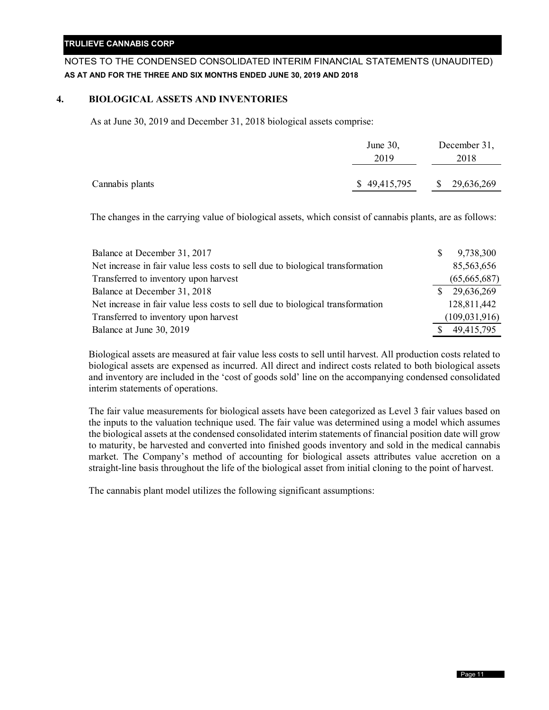## NOTES TO THE CONDENSED CONSOLIDATED INTERIM FINANCIAL STATEMENTS (UNAUDITED) **AS AT AND FOR THE THREE AND SIX MONTHS ENDED JUNE 30, 2019 AND 2018**

#### **4. BIOLOGICAL ASSETS AND INVENTORIES**

As at June 30, 2019 and December 31, 2018 biological assets comprise:

|                 | June $30$ ,<br>2019 |              | December 31,<br>2018 |
|-----------------|---------------------|--------------|----------------------|
| Cannabis plants | \$49,415,795        | <sup>S</sup> | 29,636,269           |

The changes in the carrying value of biological assets, which consist of cannabis plants, are as follows:

| Balance at December 31, 2017                                                   | S | 9,738,300       |
|--------------------------------------------------------------------------------|---|-----------------|
| Net increase in fair value less costs to sell due to biological transformation |   | 85,563,656      |
| Transferred to inventory upon harvest                                          |   | (65,665,687)    |
| Balance at December 31, 2018                                                   |   | 29,636,269      |
| Net increase in fair value less costs to sell due to biological transformation |   | 128,811,442     |
| Transferred to inventory upon harvest                                          |   | (109, 031, 916) |
| Balance at June 30, 2019                                                       |   | 49,415,795      |

Biological assets are measured at fair value less costs to sell until harvest. All production costs related to biological assets are expensed as incurred. All direct and indirect costs related to both biological assets and inventory are included in the 'cost of goods sold' line on the accompanying condensed consolidated interim statements of operations.

The fair value measurements for biological assets have been categorized as Level 3 fair values based on the inputs to the valuation technique used. The fair value was determined using a model which assumes the biological assets at the condensed consolidated interim statements of financial position date will grow to maturity, be harvested and converted into finished goods inventory and sold in the medical cannabis market. The Company's method of accounting for biological assets attributes value accretion on a straight-line basis throughout the life of the biological asset from initial cloning to the point of harvest.

The cannabis plant model utilizes the following significant assumptions: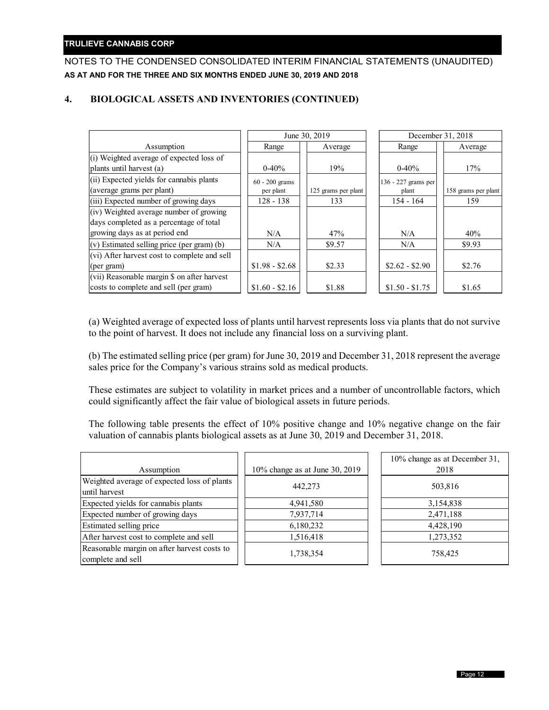## NOTES TO THE CONDENSED CONSOLIDATED INTERIM FINANCIAL STATEMENTS (UNAUDITED) **AS AT AND FOR THE THREE AND SIX MONTHS ENDED JUNE 30, 2019 AND 2018**

## **4. BIOLOGICAL ASSETS AND INVENTORIES (CONTINUED)**

|                                                                       |                             | June 30, 2019       |                              | December 31, 2018   |
|-----------------------------------------------------------------------|-----------------------------|---------------------|------------------------------|---------------------|
| Assumption                                                            | Range                       | Average             | Range                        | Average             |
| (i) Weighted average of expected loss of                              |                             |                     |                              |                     |
| plants until harvest (a)                                              | $0-40%$                     | 19%                 | $0-40%$                      | 17%                 |
| (ii) Expected yields for cannabis plants<br>(average grams per plant) | 60 - 200 grams<br>per plant | 125 grams per plant | 136 - 227 grams per<br>plant | 158 grams per plant |
| (iii) Expected number of growing days                                 | $128 - 138$                 | 133                 | $154 - 164$                  | 159                 |
| (iv) Weighted average number of growing                               |                             |                     |                              |                     |
| days completed as a percentage of total                               |                             |                     |                              |                     |
| growing days as at period end                                         | N/A                         | 47%                 | N/A                          | 40%                 |
| (v) Estimated selling price (per gram) (b)                            | N/A                         | \$9.57              | N/A                          | \$9.93              |
| (vi) After harvest cost to complete and sell                          |                             |                     |                              |                     |
| (per gram)                                                            | $$1.98 - $2.68$             | \$2.33              | $$2.62 - $2.90$              | \$2.76              |
| (vii) Reasonable margin \$ on after harvest                           |                             |                     |                              |                     |
| costs to complete and sell (per gram)                                 | $$1.60 - $2.16$             | \$1.88              | $$1.50 - $1.75$              | \$1.65              |

(a) Weighted average of expected loss of plants until harvest represents loss via plants that do not survive to the point of harvest. It does not include any financial loss on a surviving plant.

(b) The estimated selling price (per gram) for June 30, 2019 and December 31, 2018 represent the average sales price for the Company's various strains sold as medical products.

These estimates are subject to volatility in market prices and a number of uncontrollable factors, which could significantly affect the fair value of biological assets in future periods.

The following table presents the effect of 10% positive change and 10% negative change on the fair valuation of cannabis plants biological assets as at June 30, 2019 and December 31, 2018.

| Assumption                                                       | 10% change as at June 30, 2019 | 10% change as at December 31,<br>2018 |
|------------------------------------------------------------------|--------------------------------|---------------------------------------|
| Weighted average of expected loss of plants<br>until harvest     | 442,273                        | 503,816                               |
| Expected yields for cannabis plants                              | 4,941,580                      | 3,154,838                             |
| Expected number of growing days                                  | 7,937,714                      | 2,471,188                             |
| <b>Estimated selling price</b>                                   | 6,180,232                      | 4,428,190                             |
| After harvest cost to complete and sell                          | 1,516,418                      | 1,273,352                             |
| Reasonable margin on after harvest costs to<br>complete and sell | 1,738,354                      | 758,425                               |
|                                                                  |                                |                                       |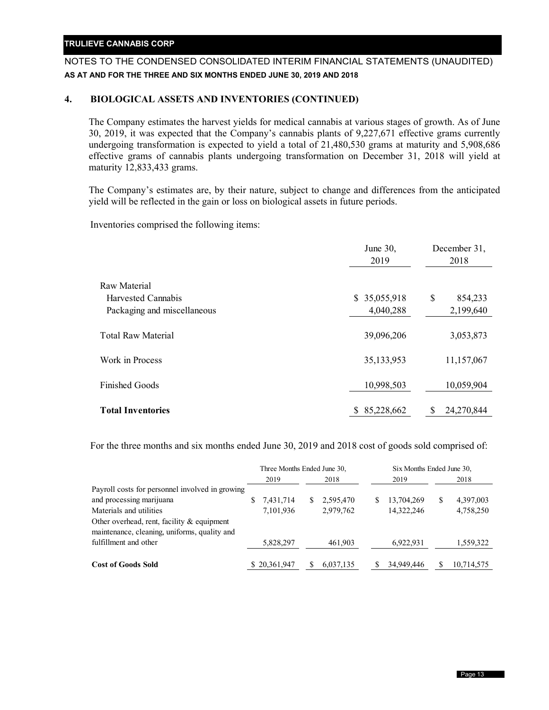## NOTES TO THE CONDENSED CONSOLIDATED INTERIM FINANCIAL STATEMENTS (UNAUDITED) **AS AT AND FOR THE THREE AND SIX MONTHS ENDED JUNE 30, 2019 AND 2018**

## **4. BIOLOGICAL ASSETS AND INVENTORIES (CONTINUED)**

The Company estimates the harvest yields for medical cannabis at various stages of growth. As of June 30, 2019, it was expected that the Company's cannabis plants of 9,227,671 effective grams currently undergoing transformation is expected to yield a total of 21,480,530 grams at maturity and 5,908,686 effective grams of cannabis plants undergoing transformation on December 31, 2018 will yield at maturity 12,833,433 grams.

The Company's estimates are, by their nature, subject to change and differences from the anticipated yield will be reflected in the gain or loss on biological assets in future periods.

Inventories comprised the following items:

|                             | June 30,<br>2019 |    | December 31,<br>2018 |
|-----------------------------|------------------|----|----------------------|
| Raw Material                |                  |    |                      |
| Harvested Cannabis          | 35,055,918<br>S. | \$ | 854,233              |
| Packaging and miscellaneous | 4,040,288        |    | 2,199,640            |
| <b>Total Raw Material</b>   | 39,096,206       |    | 3,053,873            |
| Work in Process             | 35,133,953       |    | 11,157,067           |
| <b>Finished Goods</b>       | 10,998,503       |    | 10,059,904           |
| <b>Total Inventories</b>    | 85,228,662<br>S  | S  | 24,270,844           |

For the three months and six months ended June 30, 2019 and 2018 cost of goods sold comprised of:

|                                                                                            | Three Months Ended June 30, |              |  |           |   |            | Six Months Ended June 30, |            |  |
|--------------------------------------------------------------------------------------------|-----------------------------|--------------|--|-----------|---|------------|---------------------------|------------|--|
|                                                                                            |                             | 2019         |  | 2018      |   | 2019       |                           | 2018       |  |
| Payroll costs for personnel involved in growing                                            |                             |              |  |           |   |            |                           |            |  |
| and processing marijuana                                                                   |                             | 7,431,714    |  | 2,595,470 | S | 13,704,269 | S                         | 4,397,003  |  |
| Materials and utilities                                                                    |                             | 7,101,936    |  | 2,979,762 |   | 14,322,246 |                           | 4,758,250  |  |
| Other overhead, rent, facility & equipment<br>maintenance, cleaning, uniforms, quality and |                             |              |  |           |   |            |                           |            |  |
| fulfillment and other                                                                      |                             | 5,828,297    |  | 461,903   |   | 6,922,931  |                           | 1,559,322  |  |
| <b>Cost of Goods Sold</b>                                                                  |                             | \$20,361,947 |  | 6,037,135 |   | 34,949,446 |                           | 10,714,575 |  |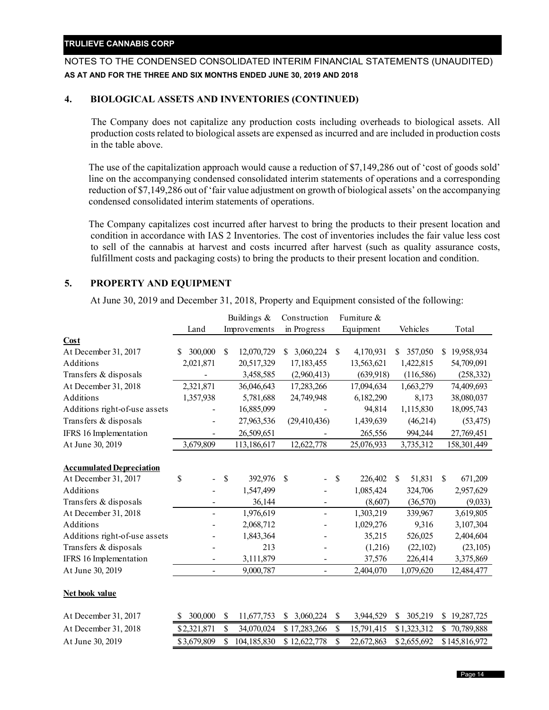## NOTES TO THE CONDENSED CONSOLIDATED INTERIM FINANCIAL STATEMENTS (UNAUDITED) **AS AT AND FOR THE THREE AND SIX MONTHS ENDED JUNE 30, 2019 AND 2018**

## **4. BIOLOGICAL ASSETS AND INVENTORIES (CONTINUED)**

The Company does not capitalize any production costs including overheads to biological assets. All production costs related to biological assets are expensed as incurred and are included in production costs in the table above.

The use of the capitalization approach would cause a reduction of \$7,149,286 out of 'cost of goods sold' line on the accompanying condensed consolidated interim statements of operations and a corresponding reduction of \$7,149,286 out of 'fair value adjustment on growth of biological assets' on the accompanying condensed consolidated interim statements of operations.

The Company capitalizes cost incurred after harvest to bring the products to their present location and condition in accordance with IAS 2 Inventories. The cost of inventories includes the fair value less cost to sell of the cannabis at harvest and costs incurred after harvest (such as quality assurance costs, fulfillment costs and packaging costs) to bring the products to their present location and condition.

## **5. PROPERTY AND EQUIPMENT**

At June 30, 2019 and December 31, 2018, Property and Equipment consisted of the following:

|                                 |                          |              | Buildings &  | Construction    | Furniture &      |                         |               |               |
|---------------------------------|--------------------------|--------------|--------------|-----------------|------------------|-------------------------|---------------|---------------|
|                                 | Land                     |              | Improvements | in Progress     | Equipment        | Vehicles                |               | Total         |
| Cost                            |                          |              |              |                 |                  |                         |               |               |
| At December 31, 2017            | 300,000<br>S             | S            | 12,070,729   | 3,060,224<br>S  | \$<br>4,170,931  | 357,050<br>\$           | S             | 19,958,934    |
| Additions                       | 2,021,871                |              | 20,517,329   | 17,183,455      | 13,563,621       | 1,422,815               |               | 54,709,091    |
| Transfers & disposals           |                          |              | 3,458,585    | (2,960,413)     | (639, 918)       | (116, 586)              |               | (258, 332)    |
| At December 31, 2018            | 2,321,871                |              | 36,046,643   | 17,283,266      | 17,094,634       | 1,663,279               |               | 74,409,693    |
| Additions                       | 1,357,938                |              | 5,781,688    | 24,749,948      | 6,182,290        | 8,173                   |               | 38,080,037    |
| Additions right-of-use assets   |                          |              | 16,885,099   |                 | 94,814           | 1,115,830               |               | 18,095,743    |
| Transfers & disposals           |                          |              | 27,963,536   | (29, 410, 436)  | 1,439,639        | (46,214)                |               | (53, 475)     |
| IFRS 16 Implementation          |                          |              | 26,509,651   |                 | 265,556          | 994,244                 |               | 27,769,451    |
| At June 30, 2019                | 3,679,809                |              | 113,186,617  | 12,622,778      | 25,076,933       | 3,735,312               |               | 158,301,449   |
| <b>Accumulated Depreciation</b> |                          |              |              |                 |                  |                         |               |               |
| At December 31, 2017            | \$                       | $\mathbb{S}$ | 392,976      | \$              | \$<br>226,402    | 51,831<br><sup>\$</sup> | <sup>\$</sup> | 671,209       |
| Additions                       |                          |              | 1,547,499    |                 | 1,085,424        | 324,706                 |               | 2,957,629     |
| Transfers & disposals           |                          |              | 36,144       |                 | (8,607)          | (36,570)                |               | (9,033)       |
| At December 31, 2018            | $\overline{\phantom{0}}$ |              | 1,976,619    | $\blacksquare$  | 1,303,219        | 339,967                 |               | 3,619,805     |
| Additions                       |                          |              | 2,068,712    |                 | 1,029,276        | 9,316                   |               | 3,107,304     |
| Additions right-of-use assets   |                          |              | 1,843,364    |                 | 35,215           | 526,025                 |               | 2,404,604     |
| Transfers & disposals           |                          |              | 213          |                 | (1,216)          | (22,102)                |               | (23,105)      |
| IFRS 16 Implementation          |                          |              | 3,111,879    |                 | 37,576           | 226,414                 |               | 3,375,869     |
| At June 30, 2019                | $\blacksquare$           |              | 9,000,787    | $\blacksquare$  | 2,404,070        | 1,079,620               |               | 12,484,477    |
| Net book value                  |                          |              |              |                 |                  |                         |               |               |
| At December 31, 2017            | 300,000<br>\$            | \$           | 11,677,753   | 3,060,224<br>\$ | \$<br>3,944,529  | 305,219<br>\$           | \$            | 19,287,725    |
| At December 31, 2018            | \$2,321,871              | \$           | 34,070,024   | \$17,283,266    | \$<br>15,791,415 | \$1,323,312             | \$            | 70,789,888    |
| At June 30, 2019                | \$3,679,809              | \$           | 104,185,830  | \$12,622,778    | \$<br>22,672,863 | \$2,655,692             |               | \$145,816,972 |
|                                 |                          |              |              |                 |                  |                         |               |               |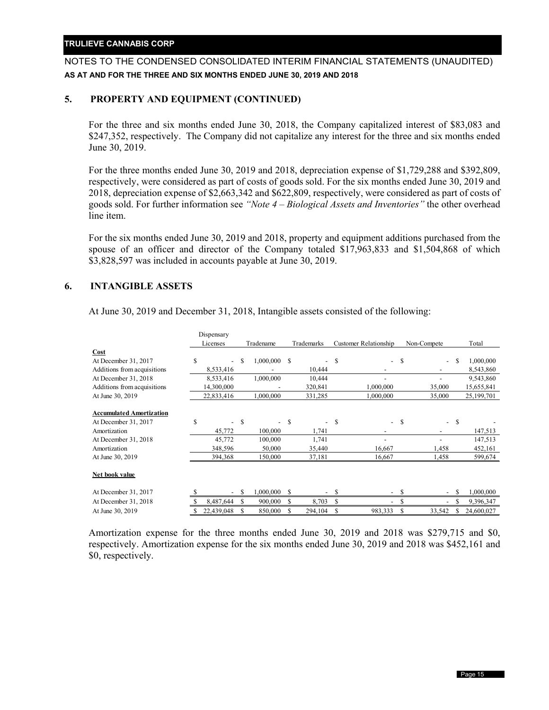## NOTES TO THE CONDENSED CONSOLIDATED INTERIM FINANCIAL STATEMENTS (UNAUDITED) **AS AT AND FOR THE THREE AND SIX MONTHS ENDED JUNE 30, 2019 AND 2018**

## **5. PROPERTY AND EQUIPMENT (CONTINUED)**

For the three and six months ended June 30, 2018, the Company capitalized interest of \$83,083 and \$247,352, respectively. The Company did not capitalize any interest for the three and six months ended June 30, 2019.

For the three months ended June 30, 2019 and 2018, depreciation expense of \$1,729,288 and \$392,809, respectively, were considered as part of costs of goods sold. For the six months ended June 30, 2019 and 2018, depreciation expense of \$2,663,342 and \$622,809, respectively, were considered as part of costs of goods sold. For further information see *"Note 4 – Biological Assets and Inventories"* the other overhead line item.

For the six months ended June 30, 2019 and 2018, property and equipment additions purchased from the spouse of an officer and director of the Company totaled \$17,963,833 and \$1,504,868 of which \$3,828,597 was included in accounts payable at June 30, 2019.

## **6. INTANGIBLE ASSETS**

|                                 |   | Dispensary               |           |           |            |                          |                       |                          |             |                          |   |            |
|---------------------------------|---|--------------------------|-----------|-----------|------------|--------------------------|-----------------------|--------------------------|-------------|--------------------------|---|------------|
|                                 |   | Licenses                 | Tradename |           | Trademarks |                          | Customer Relationship |                          | Non-Compete |                          |   | Total      |
| Cost                            |   |                          |           |           |            |                          |                       |                          |             |                          |   |            |
| At December 31, 2017            | S |                          | S         | 1,000,000 | S          | $\overline{\phantom{0}}$ | S                     | $\overline{\phantom{0}}$ | S           | $\overline{\phantom{0}}$ | S | 1,000,000  |
| Additions from acquisitions     |   | 8,533,416                |           |           |            | 10,444                   |                       |                          |             |                          |   | 8,543,860  |
| At December 31, 2018            |   | 8,533,416                |           | 1,000,000 |            | 10,444                   |                       |                          |             |                          |   | 9,543,860  |
| Additions from acquisitions     |   | 14,300,000               |           |           |            | 320,841                  |                       | 1,000,000                |             | 35,000                   |   | 15,655,841 |
| At June 30, 2019                |   | 22,833,416               |           | 1,000,000 |            | 331,285                  |                       | 1,000,000                |             | 35,000                   |   | 25,199,701 |
|                                 |   |                          |           |           |            |                          |                       |                          |             |                          |   |            |
| <b>Accumulated Amortization</b> |   |                          |           |           |            |                          |                       |                          |             |                          |   |            |
| At December 31, 2017            | S | $\overline{\phantom{0}}$ | S         |           | <b>S</b>   | $\overline{\phantom{0}}$ | £.                    | $\overline{\phantom{0}}$ | S           | $\overline{\phantom{0}}$ | S |            |
| Amortization                    |   | 45,772                   |           | 100,000   |            | 1,741                    |                       |                          |             |                          |   | 147,513    |
| At December 31, 2018            |   | 45,772                   |           | 100,000   |            | 1,741                    |                       |                          |             |                          |   | 147,513    |
| Amortization                    |   | 348,596                  |           | 50,000    |            | 35,440                   |                       | 16,667                   |             | 1,458                    |   | 452,161    |
| At June 30, 2019                |   | 394,368                  |           | 150,000   |            | 37,181                   |                       | 16,667                   |             | 1,458                    |   | 599,674    |
|                                 |   |                          |           |           |            |                          |                       |                          |             |                          |   |            |
| <b>Net book value</b>           |   |                          |           |           |            |                          |                       |                          |             |                          |   |            |
| At December 31, 2017            |   | $\sim$                   | S         | 1,000,000 | S          | $\overline{\phantom{a}}$ | S                     | $-$                      | -S          | $\overline{\phantom{0}}$ | S | 1,000,000  |
| At December 31, 2018            |   | 8,487,644                | S         | 900,000   | S          | 8,703                    | S                     |                          | S           |                          | S | 9,396,347  |
| At June 30, 2019                |   | 22,439,048               | S         | 850,000   | S          | 294,104                  | S                     | 983,333                  | S           | 33,542                   |   | 24,600,027 |

At June 30, 2019 and December 31, 2018, Intangible assets consisted of the following:

Amortization expense for the three months ended June 30, 2019 and 2018 was \$279,715 and \$0, respectively. Amortization expense for the six months ended June 30, 2019 and 2018 was \$452,161 and \$0, respectively.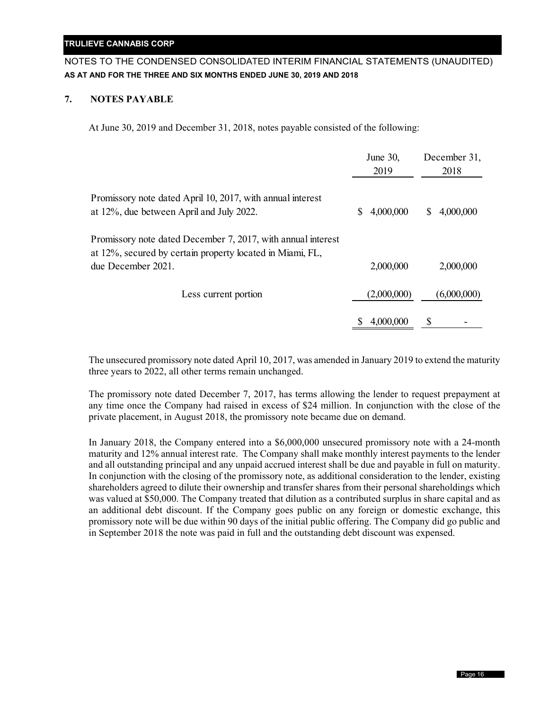## NOTES TO THE CONDENSED CONSOLIDATED INTERIM FINANCIAL STATEMENTS (UNAUDITED) **AS AT AND FOR THE THREE AND SIX MONTHS ENDED JUNE 30, 2019 AND 2018**

## **7. NOTES PAYABLE**

At June 30, 2019 and December 31, 2018, notes payable consisted of the following:

|                                                                                                                           | June 30,<br>2019 | December 31,<br>2018 |
|---------------------------------------------------------------------------------------------------------------------------|------------------|----------------------|
| Promissory note dated April 10, 2017, with annual interest<br>at 12%, due between April and July 2022.                    | 4,000,000<br>S   | 4,000,000<br>S       |
| Promissory note dated December 7, 2017, with annual interest<br>at 12%, secured by certain property located in Miami, FL, |                  |                      |
| due December 2021.                                                                                                        | 2,000,000        | 2,000,000            |
| Less current portion                                                                                                      | (2,000,000)      | (6,000,000)          |
|                                                                                                                           | 4,000,000        | \$                   |

The unsecured promissory note dated April 10, 2017, was amended in January 2019 to extend the maturity three years to 2022, all other terms remain unchanged.

The promissory note dated December 7, 2017, has terms allowing the lender to request prepayment at any time once the Company had raised in excess of \$24 million. In conjunction with the close of the private placement, in August 2018, the promissory note became due on demand.

In January 2018, the Company entered into a \$6,000,000 unsecured promissory note with a 24-month maturity and 12% annual interest rate. The Company shall make monthly interest payments to the lender and all outstanding principal and any unpaid accrued interest shall be due and payable in full on maturity. In conjunction with the closing of the promissory note, as additional consideration to the lender, existing shareholders agreed to dilute their ownership and transfer shares from their personal shareholdings which was valued at \$50,000. The Company treated that dilution as a contributed surplus in share capital and as an additional debt discount. If the Company goes public on any foreign or domestic exchange, this promissory note will be due within 90 days of the initial public offering. The Company did go public and in September 2018 the note was paid in full and the outstanding debt discount was expensed.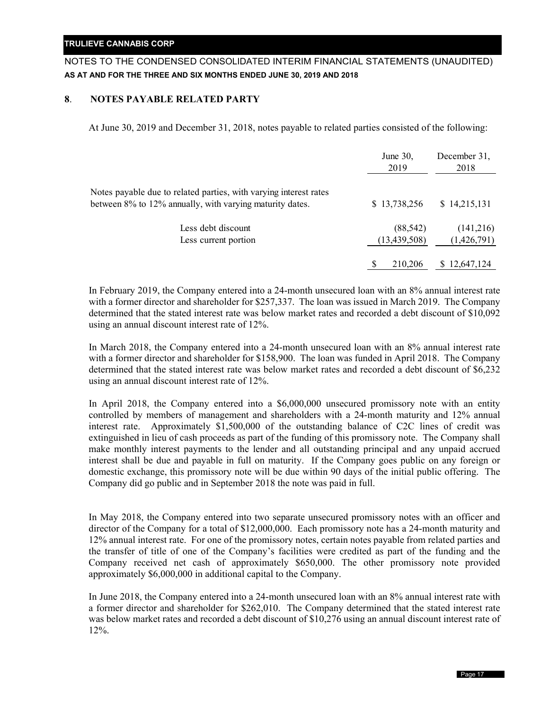## NOTES TO THE CONDENSED CONSOLIDATED INTERIM FINANCIAL STATEMENTS (UNAUDITED) **AS AT AND FOR THE THREE AND SIX MONTHS ENDED JUNE 30, 2019 AND 2018**

## **8**. **NOTES PAYABLE RELATED PARTY**

At June 30, 2019 and December 31, 2018, notes payable to related parties consisted of the following:

|                                                                                                                               | June $30$ ,<br>2019 | December 31,<br>2018 |
|-------------------------------------------------------------------------------------------------------------------------------|---------------------|----------------------|
| Notes payable due to related parties, with varying interest rates<br>between 8% to 12% annually, with varying maturity dates. | \$13,738,256        | \$14,215,131         |
| Less debt discount                                                                                                            | (88, 542)           | (141,216)            |
| Less current portion                                                                                                          | (13, 439, 508)      | (1,426,791)          |
|                                                                                                                               | 210,206             | 12,647,124<br>S      |

In February 2019, the Company entered into a 24-month unsecured loan with an 8% annual interest rate with a former director and shareholder for \$257,337. The loan was issued in March 2019. The Company determined that the stated interest rate was below market rates and recorded a debt discount of \$10,092 using an annual discount interest rate of 12%.

In March 2018, the Company entered into a 24-month unsecured loan with an 8% annual interest rate with a former director and shareholder for \$158,900. The loan was funded in April 2018. The Company determined that the stated interest rate was below market rates and recorded a debt discount of \$6,232 using an annual discount interest rate of 12%.

In April 2018, the Company entered into a \$6,000,000 unsecured promissory note with an entity controlled by members of management and shareholders with a 24-month maturity and 12% annual interest rate. Approximately \$1,500,000 of the outstanding balance of C2C lines of credit was extinguished in lieu of cash proceeds as part of the funding of this promissory note. The Company shall make monthly interest payments to the lender and all outstanding principal and any unpaid accrued interest shall be due and payable in full on maturity. If the Company goes public on any foreign or domestic exchange, this promissory note will be due within 90 days of the initial public offering. The Company did go public and in September 2018 the note was paid in full.

In May 2018, the Company entered into two separate unsecured promissory notes with an officer and director of the Company for a total of \$12,000,000. Each promissory note has a 24-month maturity and 12% annual interest rate. For one of the promissory notes, certain notes payable from related parties and the transfer of title of one of the Company's facilities were credited as part of the funding and the Company received net cash of approximately \$650,000. The other promissory note provided approximately \$6,000,000 in additional capital to the Company.

In June 2018, the Company entered into a 24-month unsecured loan with an 8% annual interest rate with a former director and shareholder for \$262,010. The Company determined that the stated interest rate was below market rates and recorded a debt discount of \$10,276 using an annual discount interest rate of 12%.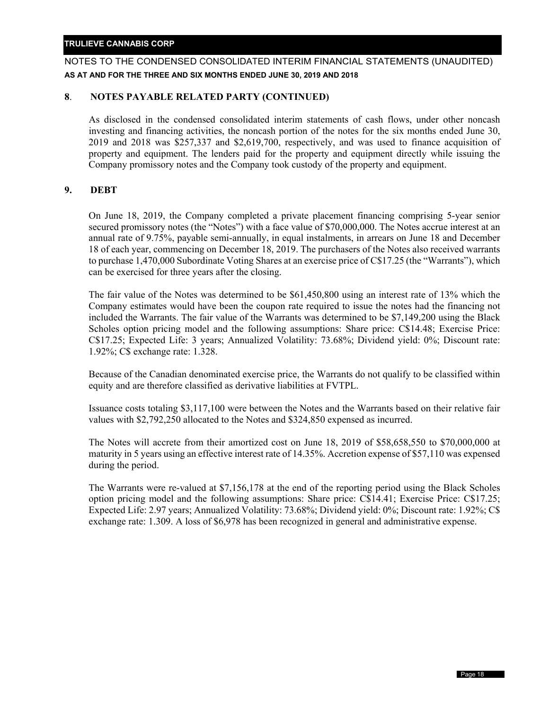## NOTES TO THE CONDENSED CONSOLIDATED INTERIM FINANCIAL STATEMENTS (UNAUDITED) **AS AT AND FOR THE THREE AND SIX MONTHS ENDED JUNE 30, 2019 AND 2018**

## **8**. **NOTES PAYABLE RELATED PARTY (CONTINUED)**

As disclosed in the condensed consolidated interim statements of cash flows, under other noncash investing and financing activities, the noncash portion of the notes for the six months ended June 30, 2019 and 2018 was \$257,337 and \$2,619,700, respectively, and was used to finance acquisition of property and equipment. The lenders paid for the property and equipment directly while issuing the Company promissory notes and the Company took custody of the property and equipment.

## **9. DEBT**

On June 18, 2019, the Company completed a private placement financing comprising 5-year senior secured promissory notes (the "Notes") with a face value of \$70,000,000. The Notes accrue interest at an annual rate of 9.75%, payable semi-annually, in equal instalments, in arrears on June 18 and December 18 of each year, commencing on December 18, 2019. The purchasers of the Notes also received warrants to purchase 1,470,000 Subordinate Voting Shares at an exercise price of C\$17.25 (the "Warrants"), which can be exercised for three years after the closing.

The fair value of the Notes was determined to be \$61,450,800 using an interest rate of 13% which the Company estimates would have been the coupon rate required to issue the notes had the financing not included the Warrants. The fair value of the Warrants was determined to be \$7,149,200 using the Black Scholes option pricing model and the following assumptions: Share price: C\$14.48; Exercise Price: C\$17.25; Expected Life: 3 years; Annualized Volatility: 73.68%; Dividend yield: 0%; Discount rate: 1.92%; C\$ exchange rate: 1.328.

Because of the Canadian denominated exercise price, the Warrants do not qualify to be classified within equity and are therefore classified as derivative liabilities at FVTPL.

Issuance costs totaling \$3,117,100 were between the Notes and the Warrants based on their relative fair values with \$2,792,250 allocated to the Notes and \$324,850 expensed as incurred.

The Notes will accrete from their amortized cost on June 18, 2019 of \$58,658,550 to \$70,000,000 at maturity in 5 years using an effective interest rate of 14.35%. Accretion expense of \$57,110 was expensed during the period.

The Warrants were re-valued at \$7,156,178 at the end of the reporting period using the Black Scholes option pricing model and the following assumptions: Share price: C\$14.41; Exercise Price: C\$17.25; Expected Life: 2.97 years; Annualized Volatility: 73.68%; Dividend yield: 0%; Discount rate: 1.92%; C\$ exchange rate: 1.309. A loss of \$6,978 has been recognized in general and administrative expense.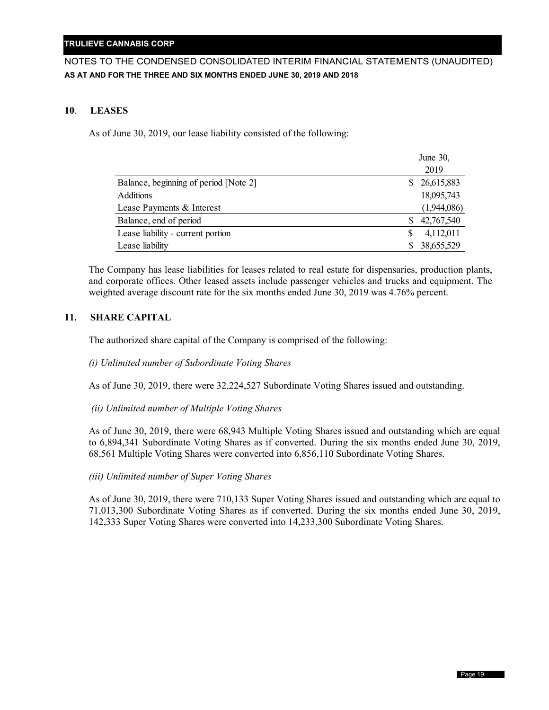## NOTES TO THE CONDENSED CONSOLIDATED INTERIM FINANCIAL STATEMENTS (UNAUDITED) **AS AT AND FOR THE THREE AND SIX MONTHS ENDED JUNE 30, 2019 AND 2018**

#### **10**. **LEASES**

As of June 30, 2019, our lease liability consisted of the following:

|                                       | June 30,         |
|---------------------------------------|------------------|
|                                       | 2019             |
| Balance, beginning of period [Note 2] | 26,615,883<br>S. |
| <b>Additions</b>                      | 18,095,743       |
| Lease Payments & Interest             | (1,944,086)      |
| Balance, end of period                | 42,767,540       |
| Lease liability - current portion     | 4,112,011        |
| Lease liability                       | 38,655,529       |

The Company has lease liabilities for leases related to real estate for dispensaries, production plants, and corporate offices. Other leased assets include passenger vehicles and trucks and equipment. The weighted average discount rate for the six months ended June 30, 2019 was 4.76% percent.

## **11. SHARE CAPITAL**

The authorized share capital of the Company is comprised of the following:

*(i) Unlimited number of Subordinate Voting Shares* 

As of June 30, 2019, there were 32,224,527 Subordinate Voting Shares issued and outstanding.

*(ii) Unlimited number of Multiple Voting Shares* 

As of June 30, 2019, there were 68,943 Multiple Voting Shares issued and outstanding which are equal to 6,894,341 Subordinate Voting Shares as if converted. During the six months ended June 30, 2019, 68,561 Multiple Voting Shares were converted into 6,856,110 Subordinate Voting Shares.

*(iii) Unlimited number of Super Voting Shares* 

As of June 30, 2019, there were 710,133 Super Voting Shares issued and outstanding which are equal to 71,013,300 Subordinate Voting Shares as if converted. During the six months ended June 30, 2019, 142,333 Super Voting Shares were converted into 14,233,300 Subordinate Voting Shares.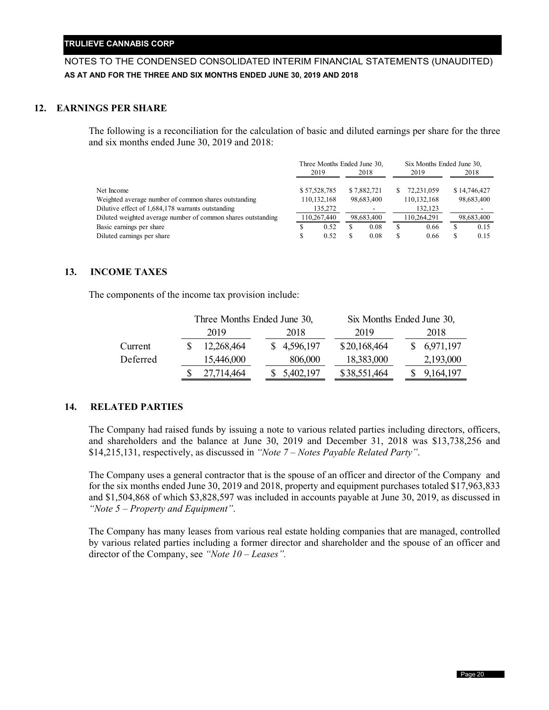## NOTES TO THE CONDENSED CONSOLIDATED INTERIM FINANCIAL STATEMENTS (UNAUDITED) **AS AT AND FOR THE THREE AND SIX MONTHS ENDED JUNE 30, 2019 AND 2018**

## **12. EARNINGS PER SHARE**

The following is a reconciliation for the calculation of basic and diluted earnings per share for the three and six months ended June 30, 2019 and 2018:

|                                                              | Three Months Ended June 30. |              |    |             |   | Six Months Ended June 30. |              |  |
|--------------------------------------------------------------|-----------------------------|--------------|----|-------------|---|---------------------------|--------------|--|
|                                                              | 2019                        |              |    | 2018        |   | 2019                      | 2018         |  |
| Net Income                                                   |                             | \$57,528,785 |    | \$7,882,721 |   | 72.231.059                | \$14,746,427 |  |
| Weighted average number of common shares outstanding         |                             | 110,132,168  |    | 98,683,400  |   | 110, 132, 168             | 98,683,400   |  |
| Dilutive effect of 1,684,178 warrants outstanding            |                             | 135,272      |    |             |   | 132,123                   |              |  |
| Diluted weighted average number of common shares outstanding |                             | 110,267,440  |    | 98,683,400  |   | 110.264.291               | 98,683,400   |  |
| Basic earnings per share                                     |                             | 0.52         | ۰Ъ | 0.08        | S | 0.66                      | 0.15         |  |
| Diluted earnings per share                                   |                             | 0.52         |    | 0.08        |   | 0.66                      | 0.15         |  |

#### **13. INCOME TAXES**

The components of the income tax provision include:

|          |            | Three Months Ended June 30, |  |             | Six Months Ended June 30, |  |  |           |  |
|----------|------------|-----------------------------|--|-------------|---------------------------|--|--|-----------|--|
|          | 2019       |                             |  | 2018        | 2019                      |  |  | 2018      |  |
| Current  | 12,268,464 |                             |  | \$4,596,197 | \$20,168,464              |  |  | 6,971,197 |  |
| Deferred | 15,446,000 |                             |  | 806,000     | 18,383,000                |  |  | 2,193,000 |  |
|          | 27.714.464 |                             |  | 5,402,197   | \$38,551,464              |  |  | 9,164,197 |  |

#### **14. RELATED PARTIES**

The Company had raised funds by issuing a note to various related parties including directors, officers, and shareholders and the balance at June 30, 2019 and December 31, 2018 was \$13,738,256 and \$14,215,131, respectively, as discussed in *"Note 7 – Notes Payable Related Party"*.

The Company uses a general contractor that is the spouse of an officer and director of the Company and for the six months ended June 30, 2019 and 2018, property and equipment purchases totaled \$17,963,833 and \$1,504,868 of which \$3,828,597 was included in accounts payable at June 30, 2019, as discussed in *"Note 5 – Property and Equipment"*.

The Company has many leases from various real estate holding companies that are managed, controlled by various related parties including a former director and shareholder and the spouse of an officer and director of the Company, see *"Note 10 – Leases".*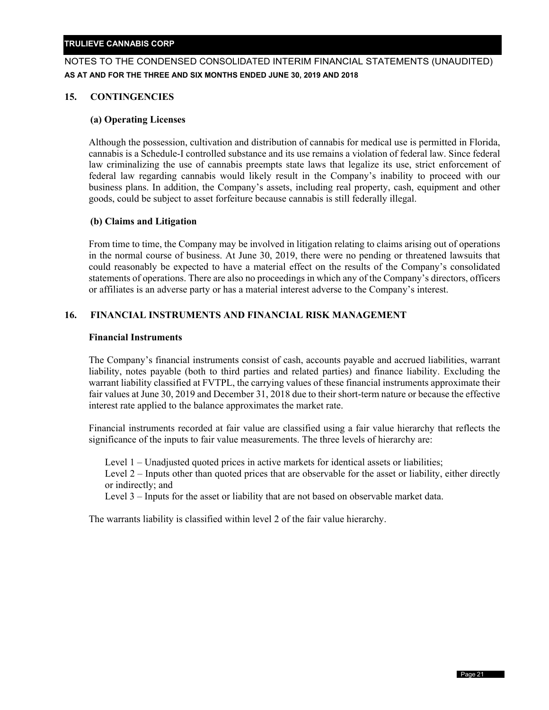## NOTES TO THE CONDENSED CONSOLIDATED INTERIM FINANCIAL STATEMENTS (UNAUDITED) **AS AT AND FOR THE THREE AND SIX MONTHS ENDED JUNE 30, 2019 AND 2018**

## **15. CONTINGENCIES**

#### **(a) Operating Licenses**

Although the possession, cultivation and distribution of cannabis for medical use is permitted in Florida, cannabis is a Schedule-I controlled substance and its use remains a violation of federal law. Since federal law criminalizing the use of cannabis preempts state laws that legalize its use, strict enforcement of federal law regarding cannabis would likely result in the Company's inability to proceed with our business plans. In addition, the Company's assets, including real property, cash, equipment and other goods, could be subject to asset forfeiture because cannabis is still federally illegal.

## **(b) Claims and Litigation**

From time to time, the Company may be involved in litigation relating to claims arising out of operations in the normal course of business. At June 30, 2019, there were no pending or threatened lawsuits that could reasonably be expected to have a material effect on the results of the Company's consolidated statements of operations. There are also no proceedings in which any of the Company's directors, officers or affiliates is an adverse party or has a material interest adverse to the Company's interest.

## **16. FINANCIAL INSTRUMENTS AND FINANCIAL RISK MANAGEMENT**

#### **Financial Instruments**

The Company's financial instruments consist of cash, accounts payable and accrued liabilities, warrant liability, notes payable (both to third parties and related parties) and finance liability. Excluding the warrant liability classified at FVTPL, the carrying values of these financial instruments approximate their fair values at June 30, 2019 and December 31, 2018 due to their short-term nature or because the effective interest rate applied to the balance approximates the market rate.

Financial instruments recorded at fair value are classified using a fair value hierarchy that reflects the significance of the inputs to fair value measurements. The three levels of hierarchy are:

Level 1 – Unadjusted quoted prices in active markets for identical assets or liabilities;

Level 2 – Inputs other than quoted prices that are observable for the asset or liability, either directly or indirectly; and

Level 3 – Inputs for the asset or liability that are not based on observable market data.

The warrants liability is classified within level 2 of the fair value hierarchy.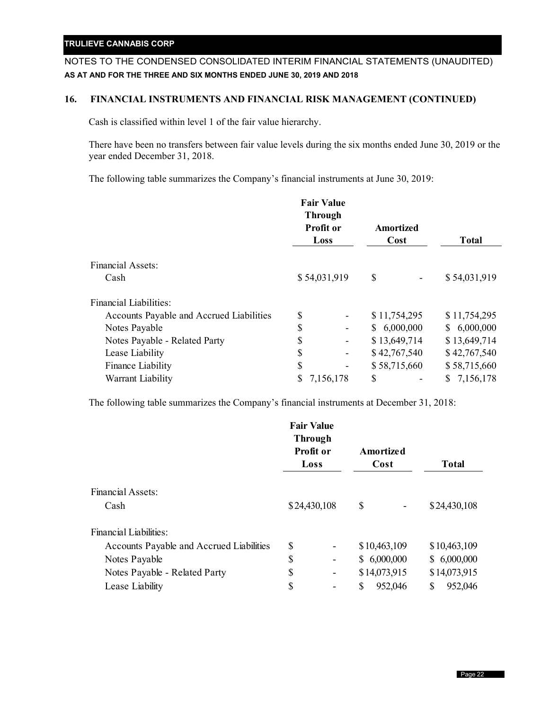## NOTES TO THE CONDENSED CONSOLIDATED INTERIM FINANCIAL STATEMENTS (UNAUDITED) **AS AT AND FOR THE THREE AND SIX MONTHS ENDED JUNE 30, 2019 AND 2018**

## **16. FINANCIAL INSTRUMENTS AND FINANCIAL RISK MANAGEMENT (CONTINUED)**

Cash is classified within level 1 of the fair value hierarchy.

There have been no transfers between fair value levels during the six months ended June 30, 2019 or the year ended December 31, 2018.

The following table summarizes the Company's financial instruments at June 30, 2019:

|                                          | <b>Fair Value</b><br><b>Through</b><br>Profit or<br>Loss |   | <b>Amortized</b><br>Cost | <b>Total</b> |  |
|------------------------------------------|----------------------------------------------------------|---|--------------------------|--------------|--|
| <b>Financial Assets:</b>                 |                                                          |   |                          |              |  |
| Cash                                     | \$54,031,919                                             |   | \$                       | \$54,031,919 |  |
| <b>Financial Liabilities:</b>            |                                                          |   |                          |              |  |
| Accounts Payable and Accrued Liabilities | \$                                                       |   | \$11,754,295             | \$11,754,295 |  |
| Notes Payable                            | \$                                                       |   | \$6,000,000              | \$6,000,000  |  |
| Notes Payable - Related Party            | \$                                                       | - | \$13,649,714             | \$13,649,714 |  |
| Lease Liability                          | \$                                                       |   | \$42,767,540             | \$42,767,540 |  |
| Finance Liability                        | \$                                                       |   | \$58,715,660             | \$58,715,660 |  |
| Warrant Liability                        | \$<br>7,156,178                                          |   | \$                       | \$7,156,178  |  |

The following table summarizes the Company's financial instruments at December 31, 2018:

|                                          | <b>Fair Value</b><br><b>Through</b><br><b>Profit or</b><br>Loss |                              | Amortized<br>Cost |         |   | <b>Total</b> |
|------------------------------------------|-----------------------------------------------------------------|------------------------------|-------------------|---------|---|--------------|
| Financial Assets:                        |                                                                 |                              |                   |         |   |              |
| Cash                                     | \$24,430,108                                                    |                              | \$                |         |   | \$24,430,108 |
| Financial Liabilities:                   |                                                                 |                              |                   |         |   |              |
| Accounts Payable and Accrued Liabilities | \$                                                              | $\qquad \qquad \blacksquare$ | \$10,463,109      |         |   | \$10,463,109 |
| Notes Payable                            | \$                                                              | $\qquad \qquad \blacksquare$ | \$6,000,000       |         |   | \$6,000,000  |
| Notes Payable - Related Party            | \$                                                              | $\qquad \qquad \blacksquare$ | \$14,073,915      |         |   | \$14,073,915 |
| Lease Liability                          | \$                                                              | -                            | \$                | 952,046 | S | 952,046      |